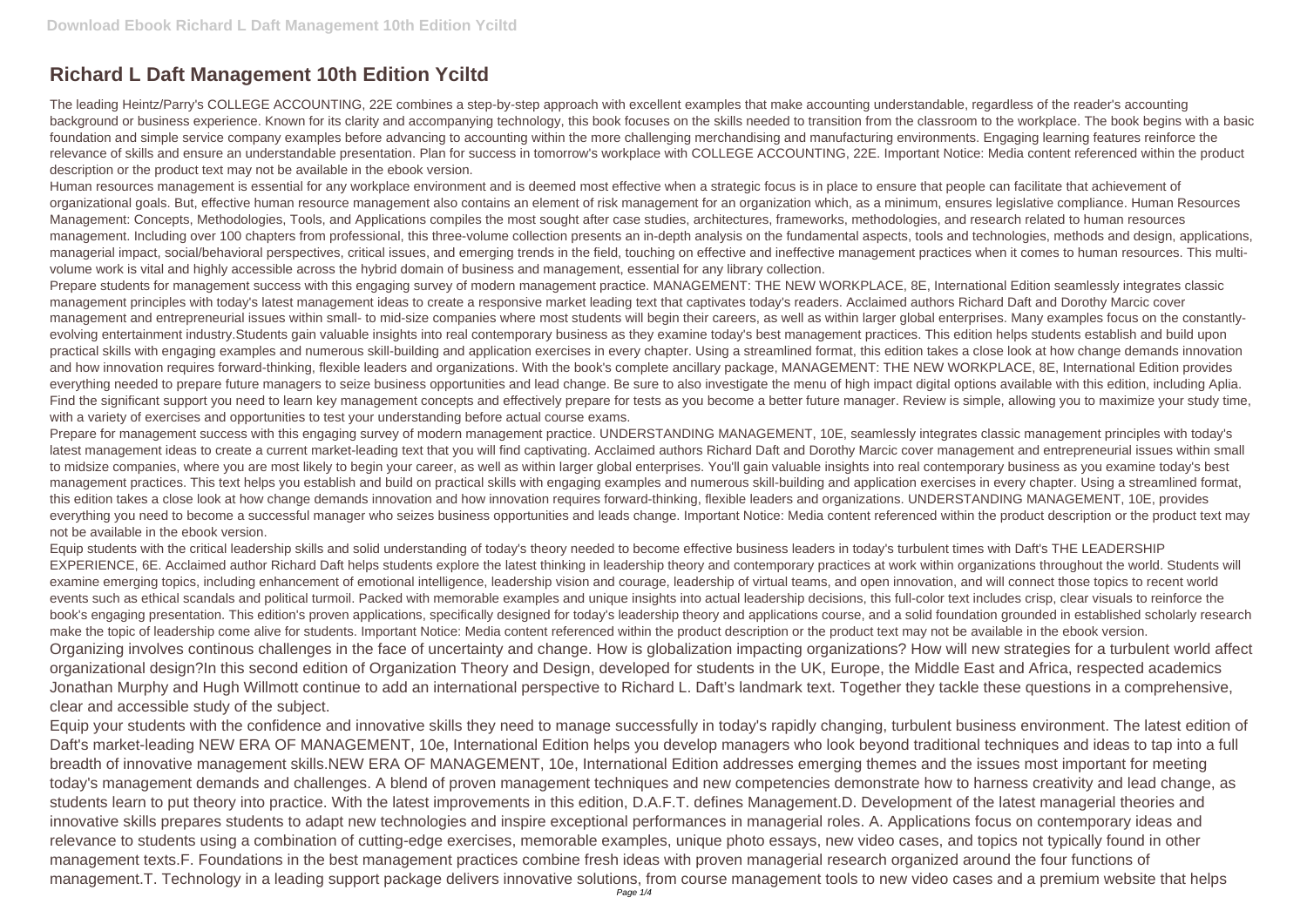## **Richard L Daft Management 10th Edition Yciltd**

The leading Heintz/Parry's COLLEGE ACCOUNTING, 22E combines a step-by-step approach with excellent examples that make accounting understandable, regardless of the reader's accounting background or business experience. Known for its clarity and accompanying technology, this book focuses on the skills needed to transition from the classroom to the workplace. The book begins with a basic foundation and simple service company examples before advancing to accounting within the more challenging merchandising and manufacturing environments. Engaging learning features reinforce the relevance of skills and ensure an understandable presentation. Plan for success in tomorrow's workplace with COLLEGE ACCOUNTING, 22E. Important Notice: Media content referenced within the product description or the product text may not be available in the ebook version.

Human resources management is essential for any workplace environment and is deemed most effective when a strategic focus is in place to ensure that people can facilitate that achievement of organizational goals. But, effective human resource management also contains an element of risk management for an organization which, as a minimum, ensures legislative compliance. Human Resources Management: Concepts, Methodologies, Tools, and Applications compiles the most sought after case studies, architectures, frameworks, methodologies, and research related to human resources management. Including over 100 chapters from professional, this three-volume collection presents an in-depth analysis on the fundamental aspects, tools and technologies, methods and design, applications, managerial impact, social/behavioral perspectives, critical issues, and emerging trends in the field, touching on effective and ineffective management practices when it comes to human resources. This multivolume work is vital and highly accessible across the hybrid domain of business and management, essential for any library collection.

Prepare students for management success with this engaging survey of modern management practice. MANAGEMENT: THE NEW WORKPLACE, 8E, International Edition seamlessly integrates classic management principles with today's latest management ideas to create a responsive market leading text that captivates today's readers. Acclaimed authors Richard Daft and Dorothy Marcic cover management and entrepreneurial issues within small- to mid-size companies where most students will begin their careers, as well as within larger global enterprises. Many examples focus on the constantlyevolving entertainment industry.Students gain valuable insights into real contemporary business as they examine today's best management practices. This edition helps students establish and build upon practical skills with engaging examples and numerous skill-building and application exercises in every chapter. Using a streamlined format, this edition takes a close look at how change demands innovation and how innovation requires forward-thinking, flexible leaders and organizations. With the book's complete ancillary package, MANAGEMENT: THE NEW WORKPLACE, 8E, International Edition provides everything needed to prepare future managers to seize business opportunities and lead change. Be sure to also investigate the menu of high impact digital options available with this edition, including Aplia. Find the significant support you need to learn key management concepts and effectively prepare for tests as you become a better future manager. Review is simple, allowing you to maximize your study time, with a variety of exercises and opportunities to test your understanding before actual course exams.

Prepare for management success with this engaging survey of modern management practice. UNDERSTANDING MANAGEMENT, 10E, seamlessly integrates classic management principles with today's latest management ideas to create a current market-leading text that you will find captivating. Acclaimed authors Richard Daft and Dorothy Marcic cover management and entrepreneurial issues within small to midsize companies, where you are most likely to begin your career, as well as within larger global enterprises. You'll gain valuable insights into real contemporary business as you examine today's best management practices. This text helps you establish and build on practical skills with engaging examples and numerous skill-building and application exercises in every chapter. Using a streamlined format, this edition takes a close look at how change demands innovation and how innovation requires forward-thinking, flexible leaders and organizations. UNDERSTANDING MANAGEMENT, 10E, provides everything you need to become a successful manager who seizes business opportunities and leads change. Important Notice: Media content referenced within the product description or the product text may not be available in the ebook version.

Equip students with the critical leadership skills and solid understanding of today's theory needed to become effective business leaders in today's turbulent times with Daft's THE LEADERSHIP EXPERIENCE, 6E. Acclaimed author Richard Daft helps students explore the latest thinking in leadership theory and contemporary practices at work within organizations throughout the world. Students will examine emerging topics, including enhancement of emotional intelligence, leadership vision and courage, leadership of virtual teams, and open innovation, and will connect those topics to recent world events such as ethical scandals and political turmoil. Packed with memorable examples and unique insights into actual leadership decisions, this full-color text includes crisp, clear visuals to reinforce the book's engaging presentation. This edition's proven applications, specifically designed for today's leadership theory and applications course, and a solid foundation grounded in established scholarly research make the topic of leadership come alive for students. Important Notice: Media content referenced within the product description or the product text may not be available in the ebook version. Organizing involves continous challenges in the face of uncertainty and change. How is globalization impacting organizations? How will new strategies for a turbulent world affect organizational design?In this second edition of Organization Theory and Design, developed for students in the UK, Europe, the Middle East and Africa, respected academics Jonathan Murphy and Hugh Willmott continue to add an international perspective to Richard L. Daft's landmark text. Together they tackle these questions in a comprehensive, clear and accessible study of the subject.

Equip your students with the confidence and innovative skills they need to manage successfully in today's rapidly changing, turbulent business environment. The latest edition of Daft's market-leading NEW ERA OF MANAGEMENT, 10e, International Edition helps you develop managers who look beyond traditional techniques and ideas to tap into a full breadth of innovative management skills.NEW ERA OF MANAGEMENT, 10e, International Edition addresses emerging themes and the issues most important for meeting today's management demands and challenges. A blend of proven management techniques and new competencies demonstrate how to harness creativity and lead change, as students learn to put theory into practice. With the latest improvements in this edition, D.A.F.T. defines Management.D. Development of the latest managerial theories and innovative skills prepares students to adapt new technologies and inspire exceptional performances in managerial roles. A. Applications focus on contemporary ideas and relevance to students using a combination of cutting-edge exercises, memorable examples, unique photo essays, new video cases, and topics not typically found in other management texts.F. Foundations in the best management practices combine fresh ideas with proven managerial research organized around the four functions of management.T. Technology in a leading support package delivers innovative solutions, from course management tools to new video cases and a premium website that helps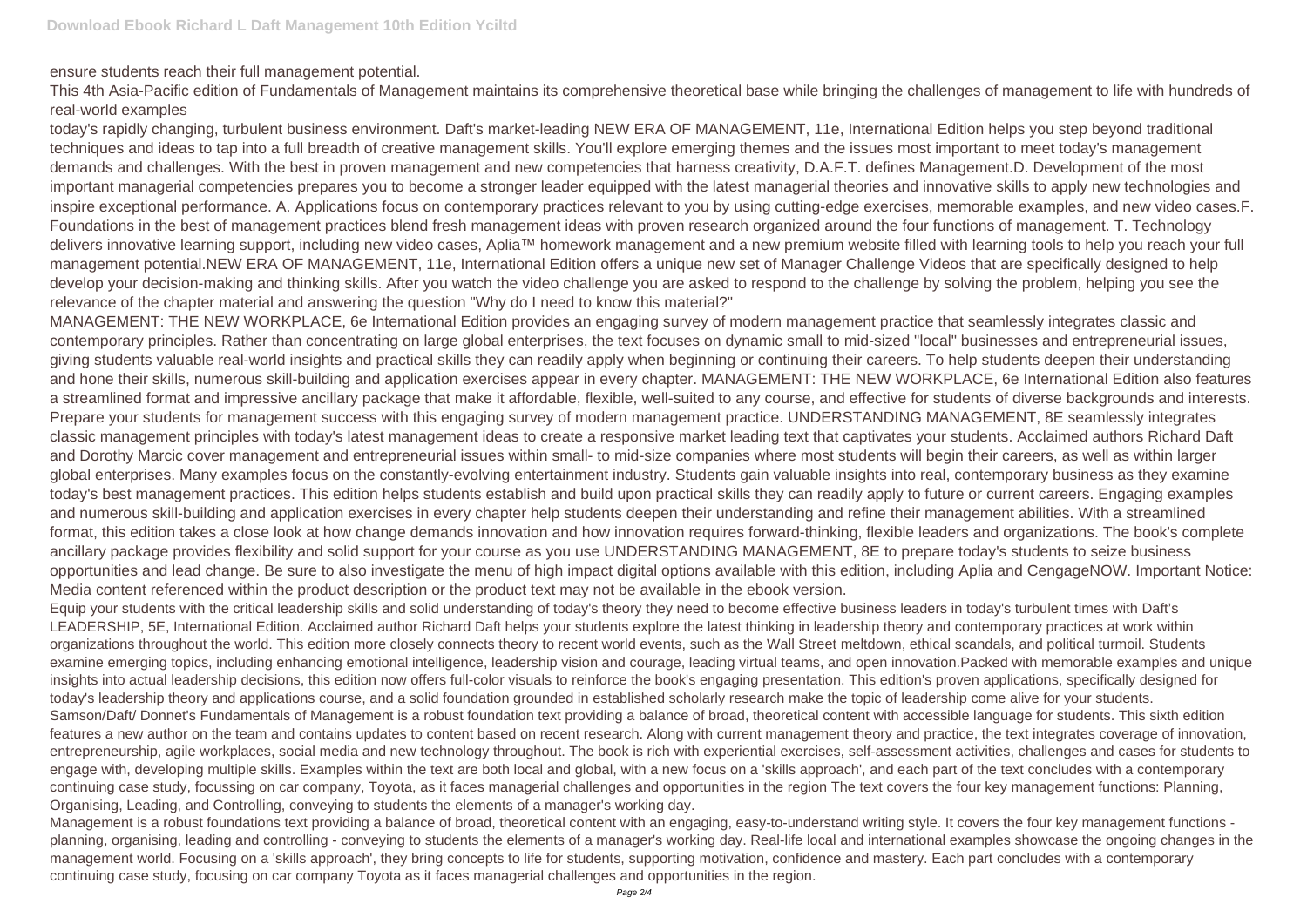ensure students reach their full management potential.

This 4th Asia-Pacific edition of Fundamentals of Management maintains its comprehensive theoretical base while bringing the challenges of management to life with hundreds of real-world examples

today's rapidly changing, turbulent business environment. Daft's market-leading NEW ERA OF MANAGEMENT, 11e, International Edition helps you step beyond traditional techniques and ideas to tap into a full breadth of creative management skills. You'll explore emerging themes and the issues most important to meet today's management demands and challenges. With the best in proven management and new competencies that harness creativity, D.A.F.T. defines Management.D. Development of the most important managerial competencies prepares you to become a stronger leader equipped with the latest managerial theories and innovative skills to apply new technologies and inspire exceptional performance. A. Applications focus on contemporary practices relevant to you by using cutting-edge exercises, memorable examples, and new video cases.F. Foundations in the best of management practices blend fresh management ideas with proven research organized around the four functions of management. T. Technology delivers innovative learning support, including new video cases, Aplia™ homework management and a new premium website filled with learning tools to help you reach your full management potential.NEW ERA OF MANAGEMENT, 11e, International Edition offers a unique new set of Manager Challenge Videos that are specifically designed to help develop your decision-making and thinking skills. After you watch the video challenge you are asked to respond to the challenge by solving the problem, helping you see the relevance of the chapter material and answering the question "Why do I need to know this material?"

MANAGEMENT: THE NEW WORKPLACE, 6e International Edition provides an engaging survey of modern management practice that seamlessly integrates classic and contemporary principles. Rather than concentrating on large global enterprises, the text focuses on dynamic small to mid-sized "local" businesses and entrepreneurial issues, giving students valuable real-world insights and practical skills they can readily apply when beginning or continuing their careers. To help students deepen their understanding and hone their skills, numerous skill-building and application exercises appear in every chapter. MANAGEMENT: THE NEW WORKPLACE, 6e International Edition also features a streamlined format and impressive ancillary package that make it affordable, flexible, well-suited to any course, and effective for students of diverse backgrounds and interests. Prepare your students for management success with this engaging survey of modern management practice. UNDERSTANDING MANAGEMENT, 8E seamlessly integrates classic management principles with today's latest management ideas to create a responsive market leading text that captivates your students. Acclaimed authors Richard Daft and Dorothy Marcic cover management and entrepreneurial issues within small- to mid-size companies where most students will begin their careers, as well as within larger global enterprises. Many examples focus on the constantly-evolving entertainment industry. Students gain valuable insights into real, contemporary business as they examine today's best management practices. This edition helps students establish and build upon practical skills they can readily apply to future or current careers. Engaging examples and numerous skill-building and application exercises in every chapter help students deepen their understanding and refine their management abilities. With a streamlined format, this edition takes a close look at how change demands innovation and how innovation requires forward-thinking, flexible leaders and organizations. The book's complete ancillary package provides flexibility and solid support for your course as you use UNDERSTANDING MANAGEMENT, 8E to prepare today's students to seize business opportunities and lead change. Be sure to also investigate the menu of high impact digital options available with this edition, including Aplia and CengageNOW. Important Notice: Media content referenced within the product description or the product text may not be available in the ebook version.

Management is a robust foundations text providing a balance of broad, theoretical content with an engaging, easy-to-understand writing style. It covers the four key management functions planning, organising, leading and controlling - conveying to students the elements of a manager's working day. Real-life local and international examples showcase the ongoing changes in the management world. Focusing on a 'skills approach', they bring concepts to life for students, supporting motivation, confidence and mastery. Each part concludes with a contemporary continuing case study, focusing on car company Toyota as it faces managerial challenges and opportunities in the region.

Equip your students with the critical leadership skills and solid understanding of today's theory they need to become effective business leaders in today's turbulent times with Daft's LEADERSHIP, 5E, International Edition. Acclaimed author Richard Daft helps your students explore the latest thinking in leadership theory and contemporary practices at work within organizations throughout the world. This edition more closely connects theory to recent world events, such as the Wall Street meltdown, ethical scandals, and political turmoil. Students examine emerging topics, including enhancing emotional intelligence, leadership vision and courage, leading virtual teams, and open innovation.Packed with memorable examples and unique insights into actual leadership decisions, this edition now offers full-color visuals to reinforce the book's engaging presentation. This edition's proven applications, specifically designed for today's leadership theory and applications course, and a solid foundation grounded in established scholarly research make the topic of leadership come alive for your students. Samson/Daft/ Donnet's Fundamentals of Management is a robust foundation text providing a balance of broad, theoretical content with accessible language for students. This sixth edition features a new author on the team and contains updates to content based on recent research. Along with current management theory and practice, the text integrates coverage of innovation, entrepreneurship, agile workplaces, social media and new technology throughout. The book is rich with experiential exercises, self-assessment activities, challenges and cases for students to engage with, developing multiple skills. Examples within the text are both local and global, with a new focus on a 'skills approach', and each part of the text concludes with a contemporary continuing case study, focussing on car company, Toyota, as it faces managerial challenges and opportunities in the region The text covers the four key management functions: Planning, Organising, Leading, and Controlling, conveying to students the elements of a manager's working day.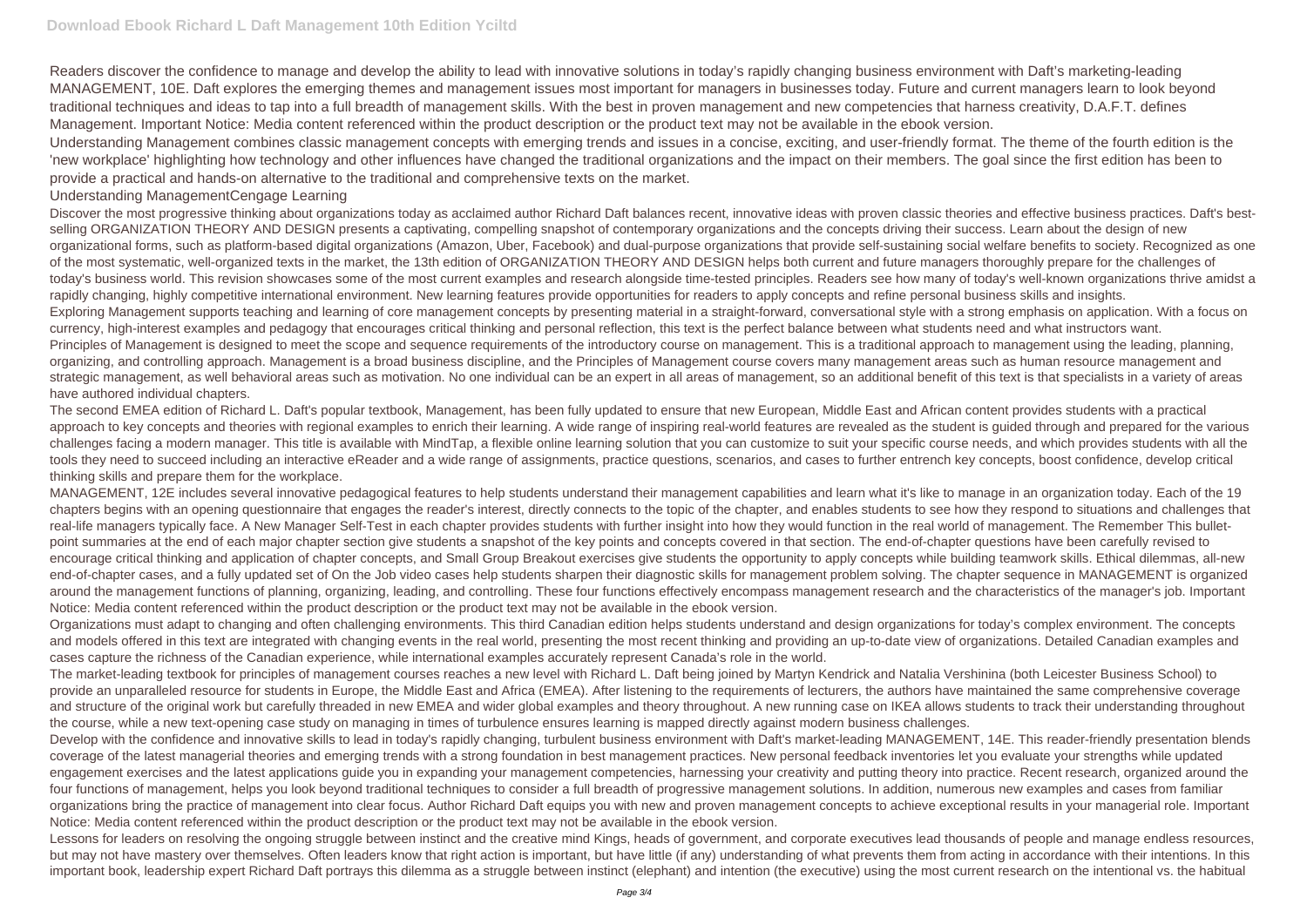Readers discover the confidence to manage and develop the ability to lead with innovative solutions in today's rapidly changing business environment with Daft's marketing-leading MANAGEMENT, 10E. Daft explores the emerging themes and management issues most important for managers in businesses today. Future and current managers learn to look beyond traditional techniques and ideas to tap into a full breadth of management skills. With the best in proven management and new competencies that harness creativity, D.A.F.T. defines Management. Important Notice: Media content referenced within the product description or the product text may not be available in the ebook version. Understanding Management combines classic management concepts with emerging trends and issues in a concise, exciting, and user-friendly format. The theme of the fourth edition is the 'new workplace' highlighting how technology and other influences have changed the traditional organizations and the impact on their members. The goal since the first edition has been to provide a practical and hands-on alternative to the traditional and comprehensive texts on the market.

## Understanding ManagementCengage Learning

Discover the most progressive thinking about organizations today as acclaimed author Richard Daft balances recent, innovative ideas with proven classic theories and effective business practices. Daft's bestselling ORGANIZATION THEORY AND DESIGN presents a captivating, compelling snapshot of contemporary organizations and the concepts driving their success. Learn about the design of new organizational forms, such as platform-based digital organizations (Amazon, Uber, Facebook) and dual-purpose organizations that provide self-sustaining social welfare benefits to society. Recognized as one of the most systematic, well-organized texts in the market, the 13th edition of ORGANIZATION THEORY AND DESIGN helps both current and future managers thoroughly prepare for the challenges of today's business world. This revision showcases some of the most current examples and research alongside time-tested principles. Readers see how many of today's well-known organizations thrive amidst a rapidly changing, highly competitive international environment. New learning features provide opportunities for readers to apply concepts and refine personal business skills and insights. Exploring Management supports teaching and learning of core management concepts by presenting material in a straight-forward, conversational style with a strong emphasis on application. With a focus on currency, high-interest examples and pedagogy that encourages critical thinking and personal reflection, this text is the perfect balance between what students need and what instructors want. Principles of Management is designed to meet the scope and sequence requirements of the introductory course on management. This is a traditional approach to management using the leading, planning, organizing, and controlling approach. Management is a broad business discipline, and the Principles of Management course covers many management areas such as human resource management and strategic management, as well behavioral areas such as motivation. No one individual can be an expert in all areas of management, so an additional benefit of this text is that specialists in a variety of areas have authored individual chapters.

The second EMEA edition of Richard L. Daft's popular textbook, Management, has been fully updated to ensure that new European, Middle East and African content provides students with a practical approach to key concepts and theories with regional examples to enrich their learning. A wide range of inspiring real-world features are revealed as the student is guided through and prepared for the various challenges facing a modern manager. This title is available with MindTap, a flexible online learning solution that you can customize to suit your specific course needs, and which provides students with all the tools they need to succeed including an interactive eReader and a wide range of assignments, practice questions, scenarios, and cases to further entrench key concepts, boost confidence, develop critical thinking skills and prepare them for the workplace.

Develop with the confidence and innovative skills to lead in today's rapidly changing, turbulent business environment with Daft's market-leading MANAGEMENT, 14E. This reader-friendly presentation blends coverage of the latest managerial theories and emerging trends with a strong foundation in best management practices. New personal feedback inventories let you evaluate your strengths while updated engagement exercises and the latest applications guide you in expanding your management competencies, harnessing your creativity and putting theory into practice. Recent research, organized around the four functions of management, helps you look beyond traditional techniques to consider a full breadth of progressive management solutions. In addition, numerous new examples and cases from familiar organizations bring the practice of management into clear focus. Author Richard Daft equips you with new and proven management concepts to achieve exceptional results in your managerial role. Important Notice: Media content referenced within the product description or the product text may not be available in the ebook version.

Lessons for leaders on resolving the ongoing struggle between instinct and the creative mind Kings, heads of government, and corporate executives lead thousands of people and manage endless resources, but may not have mastery over themselves. Often leaders know that right action is important, but have little (if any) understanding of what prevents them from acting in accordance with their intentions. In this important book, leadership expert Richard Daft portrays this dilemma as a struggle between instinct (elephant) and intention (the executive) using the most current research on the intentional vs. the habitual

MANAGEMENT, 12E includes several innovative pedagogical features to help students understand their management capabilities and learn what it's like to manage in an organization today. Each of the 19 chapters begins with an opening questionnaire that engages the reader's interest, directly connects to the topic of the chapter, and enables students to see how they respond to situations and challenges that real-life managers typically face. A New Manager Self-Test in each chapter provides students with further insight into how they would function in the real world of management. The Remember This bulletpoint summaries at the end of each major chapter section give students a snapshot of the key points and concepts covered in that section. The end-of-chapter questions have been carefully revised to encourage critical thinking and application of chapter concepts, and Small Group Breakout exercises give students the opportunity to apply concepts while building teamwork skills. Ethical dilemmas, all-new end-of-chapter cases, and a fully updated set of On the Job video cases help students sharpen their diagnostic skills for management problem solving. The chapter sequence in MANAGEMENT is organized around the management functions of planning, organizing, leading, and controlling. These four functions effectively encompass management research and the characteristics of the manager's job. Important Notice: Media content referenced within the product description or the product text may not be available in the ebook version.

Organizations must adapt to changing and often challenging environments. This third Canadian edition helps students understand and design organizations for today's complex environment. The concepts and models offered in this text are integrated with changing events in the real world, presenting the most recent thinking and providing an up-to-date view of organizations. Detailed Canadian examples and cases capture the richness of the Canadian experience, while international examples accurately represent Canada's role in the world.

The market-leading textbook for principles of management courses reaches a new level with Richard L. Daft being joined by Martyn Kendrick and Natalia Vershinina (both Leicester Business School) to provide an unparalleled resource for students in Europe, the Middle East and Africa (EMEA). After listening to the requirements of lecturers, the authors have maintained the same comprehensive coverage and structure of the original work but carefully threaded in new EMEA and wider global examples and theory throughout. A new running case on IKEA allows students to track their understanding throughout the course, while a new text-opening case study on managing in times of turbulence ensures learning is mapped directly against modern business challenges.